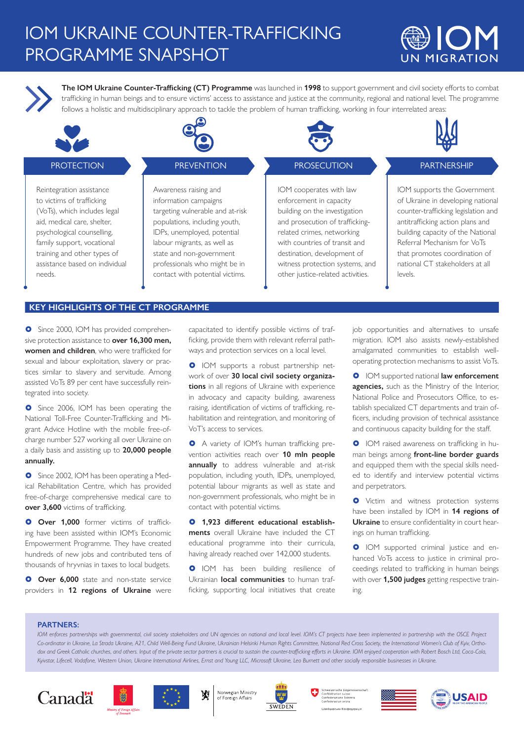# IOM UKRAINE COUNTER-TRAFFICKING PROGRAMME SNAPSHOT





**The IOM Ukraine Counter-Trafficking (CT) Programme** was launched in **1998** to support government and civil society efforts to combat trafficking in human beings and to ensure victims' access to assistance and justice at the community, regional and national level. The programme follows a holistic and multidisciplinary approach to tackle the problem of human trafficking, working in four interrelated areas:



## **PROTECTION**

Reintegration assistance to victims of trafficking (VoTs), which includes legal aid, medical care, shelter, psychological counselling, family support, vocational training and other types of assistance based on individual needs.



#### **PREVENTION**

Awareness raising and information campaigns targeting vulnerable and at-risk populations, including youth, IDPs, unemployed, potential labour migrants, as well as state and non-government professionals who might be in contact with potential victims.



## **PROSECUTION**

IOM cooperates with law enforcement in capacity building on the investigation and prosecution of traffickingrelated crimes, networking with countries of transit and destination, development of witness protection systems, and other justice-related activities.



## **PARTNERSHIP**

IOM supports the Government of Ukraine in developing national counter-trafficking legislation and antitrafficking action plans and building capacity of the National Referral Mechanism for VoTs that promotes coordination of national CT stakeholders at all levels.

#### **KEY HIGHLIGHTS OF THE CT PROGRAMME**

**O** Since 2000, IOM has provided comprehensive protection assistance to **over 16,300 men, women and children**, who were trafficked for sexual and labour exploitation, slavery or practices similar to slavery and servitude. Among assisted VoTs 89 per cent have successfully reintegrated into society.

**O** Since 2006, IOM has been operating the National Toll-Free Counter-Trafficking and Migrant Advice Hotline with the mobile free-ofcharge number 527 working all over Ukraine on a daily basis and assisting up to **20,000 people annually.**

**O** Since 2002, IOM has been operating a Medical Rehabilitation Centre, which has provided free-of-charge comprehensive medical care to **over 3,600** victims of trafficking.

**O** Over 1,000 former victims of trafficking have been assisted within IOM's Economic Empowerment Programme. They have created hundreds of new jobs and contributed tens of thousands of hryvnias in taxes to local budgets.

**O** Over 6,000 state and non-state service providers in **12 regions of Ukraine** were capacitated to identify possible victims of trafficking, provide them with relevant referral pathways and protection services on a local level.

**O** IOM supports a robust partnership network of over **30 local civil society organizations** in all regions of Ukraine with experience in advocacy and capacity building, awareness raising, identification of victims of trafficking, rehabilitation and reintegration, and monitoring of VoT's access to services.

 A variety of IOM's human trafficking prevention activities reach over **10 mln people annually** to address vulnerable and at-risk population, including youth, IDPs, unemployed, potential labour migrants as well as state and non-government professionals, who might be in contact with potential victims.

 **1,923 different educational establishments** overall Ukraine have included the CT educational programme into their curricula, having already reached over 142,000 students.

**O** IOM has been building resilience of Ukrainian **local communities** to human trafficking, supporting local initiatives that create

job opportunities and alternatives to unsafe migration. IOM also assists newly-established amalgamated communities to establish welloperating protection mechanisms to assist VoTs.

**O** IOM supported national **law enforcement agencies,** such as the Ministry of the Interior, National Police and Prosecutors Office, to establish specialized CT departments and train officers, including provision of technical assistance and continuous capacity building for the staff.

**O** IOM raised awareness on trafficking in human beings among **front-line border guards**  and equipped them with the special skills needed to identify and interview potential victims and perpetrators.

**O** Victim and witness protection systems have been installed by IOM in **14 regions of Ukraine** to ensure confidentiality in court hearings on human trafficking.

**O** IOM supported criminal justice and enhanced VoTs access to justice in criminal proceedings related to trafficking in human beings with over **1,500 judges** getting respective training.

#### **PARTNERS:**

IOM enforces partnerships with governmental, civil society stakeholders and UN agencies on national and local level. IOM's CT projects have been implemented in partnership with the OSCE Project Co-ordinator in Ukraine, La Strada Ukraine, A21, Child Well-Being Fund Ukraine, Ukrainian Helsinki Human Rights Committee, National Red Cross Society, the International Women's Club of Kyiv, Orthodox and Greek Catholic churches, and others. Input of the private sector partners is crucial to sustain the counter-trafficking efforts in Ukraine. IOM enjoyed cooperation with Robert Bosch Ltd, Coca-Cola, *Kyivstar, Lifecell, Vodafone, Western Union, Ukraine International Airlines, Ernst and Young LLC, Microsoft Ukraine, Leo Burnett and other socially responsible businesses in Ukraine.*